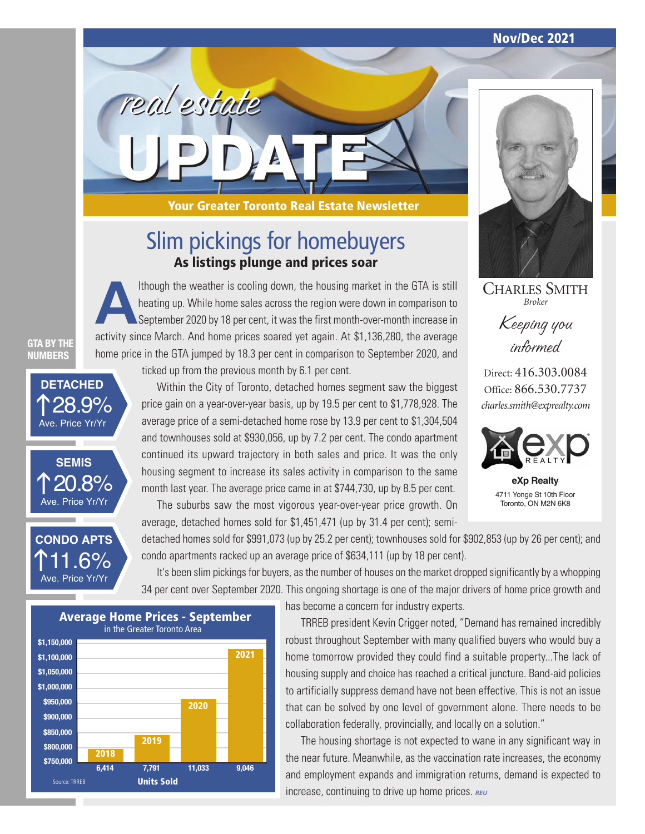**Nov/Dec 2021**



CHARLES SMITH *Broker*

Keeping you informed

Direct: 416.303.0084 Office: 866.530.7737 *charles.smith@exprealty.com*



**eXp Realty**  4711 Yonge St 10th Floor Toronto, ON M2N 6K8

**Your Greater Toronto Real Estate Newsletter**

## Slim pickings for homebuyers **As listings plunge and prices soar**

Ithough the weather is cooling down, the housing market in the GTA is still<br>heating up. While home sales across the region were down in comparison to<br>September 2020 by 18 per cent, it was the first month-over-month increas heating up. While home sales across the region were down in comparison to September 2020 by 18 per cent, it was the first month-over-month increase in activity since March. And home prices soared yet again. At \$1,136,280, the average home price in the GTA jumped by 18.3 per cent in comparison to September 2020, and

**GTA BY THE NUMBERS**

28.9% **DETACHED** Ave. Price Yr/Yr



<u>1.6%</u> **CONDO APTS** Ave. Price Yr/Yr

ticked up from the previous month by 6.1 per cent.

**UPDATE**

real estate

Within the City of Toronto, detached homes segment saw the biggest price gain on a year-over-year basis, up by 19.5 per cent to \$1,778,928. The average price of a semi-detached home rose by 13.9 per cent to \$1,304,504 and townhouses sold at \$930,056, up by 7.2 per cent. The condo apartment continued its upward trajectory in both sales and price. It was the only housing segment to increase its sales activity in comparison to the same month last year. The average price came in at \$744,730, up by 8.5 per cent.

The suburbs saw the most vigorous year-over-year price growth. On average, detached homes sold for \$1,451,471 (up by 31.4 per cent); semi-

detached homes sold for \$991,073 (up by 25.2 per cent); townhouses sold for \$902,853 (up by 26 per cent); and condo apartments racked up an average price of \$634,111 (up by 18 per cent).

It's been slim pickings for buyers, as the number of houses on the market dropped significantly by a whopping 34 per cent over September 2020. This ongoing shortage is one of the major drivers of home price growth and

Source: TRREB **Units Sold \$1,100,000 \$1,050,000 \$1,000,000 \$950,000 \$800,000 \$900,000 \$850,000 \$750,000 \$1,150,000 6,414 7,791 11,033 9,046 Average Home Prices - September** in the Greater Toronto Area **2018 2019 2020 2021**

has become a concern for industry experts.

TRREB president Kevin Crigger noted, "Demand has remained incredibly robust throughout September with many qualified buyers who would buy a home tomorrow provided they could find a suitable property...The lack of housing supply and choice has reached a critical juncture. Band-aid policies to artificially suppress demand have not been effective. This is not an issue that can be solved by one level of government alone. There needs to be collaboration federally, provincially, and locally on a solution."

The housing shortage is not expected to wane in any significant way in the near future. Meanwhile, as the vaccination rate increases, the economy and employment expands and immigration returns, demand is expected to increase, continuing to drive up home prices. *REU*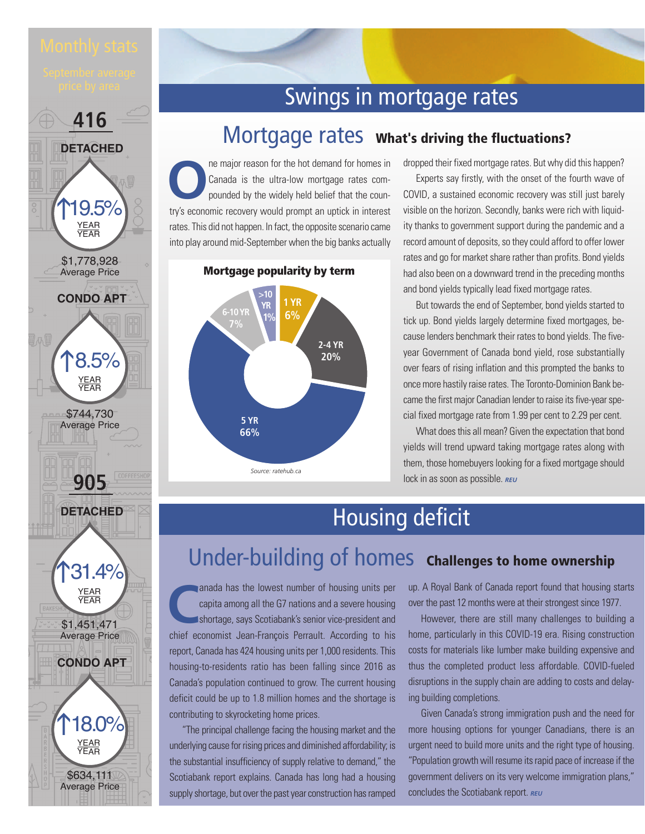



YEAR YEAR







## Swings in mortgage rates

## Mortgage rates **What's driving the fluctuations?**

**O**ne major reason for the hot demand for homes in Canada is the ultra-low mortgage rates compounded by the widely held belief that the country's assume that the country's assume that the country's assume that the country' Canada is the ultra-low mortgage rates compounded by the widely held belief that the country's economic recovery would prompt an uptick in interest rates. This did not happen. In fact, the opposite scenario came into play around mid-September when the big banks actually

dropped their fixed mortgage rates. But why did this happen?

Experts say firstly, with the onset of the fourth wave of COVID, a sustained economic recovery was still just barely visible on the horizon. Secondly, banks were rich with liquidity thanks to government support during the pandemic and a record amount of deposits, so they could afford to offer lower rates and go for market share rather than profits. Bond yields had also been on a downward trend in the preceding months and bond yields typically lead fixed mortgage rates.

> But towards the end of September, bond yields started to tick up. Bond yields largely determine fixed mortgages, because lenders benchmark their rates to bond yields. The fiveyear Government of Canada bond yield, rose substantially over fears of rising inflation and this prompted the banks to once more hastily raise rates. The Toronto-Dominion Bank became the first major Canadian lender to raise its five-year special fixed mortgage rate from 1.99 per cent to 2.29 per cent.

> What does this all mean? Given the expectation that bond yields will trend upward taking mortgage rates along with them, those homebuyers looking for a fixed mortgage should lock in as soon as possible. **REU**

## Housing deficit

## Under-building of homes **Challenges to home ownership**

anada has the lowest number of housing units per<br>
capita among all the G7 nations and a severe housing<br>
shortage, says Scotiabank's senior vice-president and<br>
chief accommist Jean Franceis Derroult, According to hie capita among all the G7 nations and a severe housing shortage, says Scotiabank's senior vice-president and chief economist Jean-François Perrault. According to his report, Canada has 424 housing units per 1,000 residents. This housing-to-residents ratio has been falling since 2016 as Canada's population continued to grow. The current housing deficit could be up to 1.8 million homes and the shortage is contributing to skyrocketing home prices.

"The principal challenge facing the housing market and the underlying cause for rising prices and diminished affordability; is the substantial insufficiency of supply relative to demand," the Scotiabank report explains. Canada has long had a housing supply shortage, but over the past year construction has ramped up. A Royal Bank of Canada report found that housing starts over the past 12 months were at their strongest since 1977.

However, there are still many challenges to building a home, particularly in this COVID-19 era. Rising construction costs for materials like lumber make building expensive and thus the completed product less affordable. COVID-fueled disruptions in the supply chain are adding to costs and delaying building completions.

Given Canada's strong immigration push and the need for more housing options for younger Canadians, there is an urgent need to build more units and the right type of housing. "Population growth will resume its rapid pace of increase if the government delivers on its very welcome immigration plans," concludes the Scotiabank report. *REU*

#### **Mortgage popularity by term**

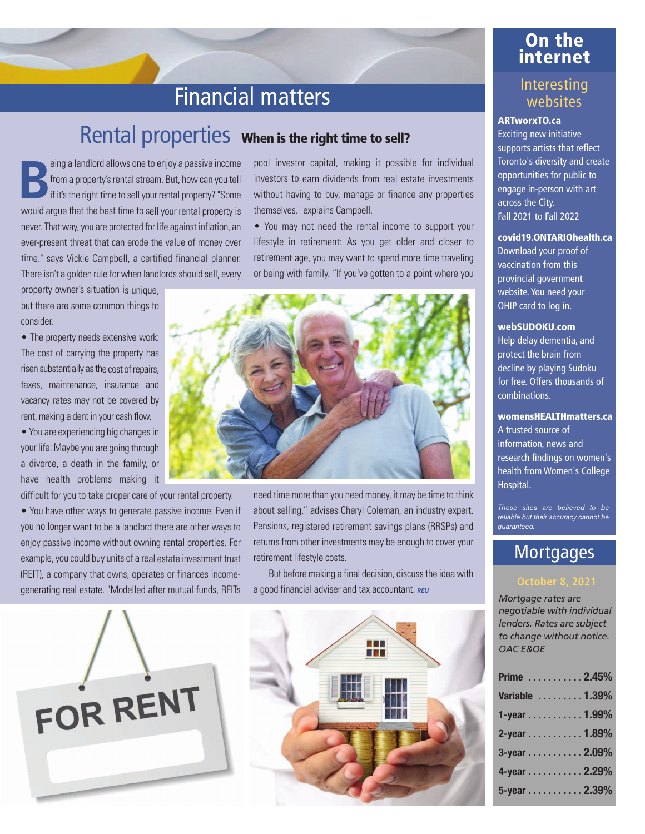### **On the internet**

### Interesting websites

#### **ARTworxTO.ca**

Exciting new initiative supports artists that reflect Toronto's diversity and create opportunities for public to engage in-person with art across the City. Fall 2021 to Fall 2022

#### **covid19.ONTARIOhealth.ca**

Download your proof of vaccination from this provincial government website. You need your OHIP card to log in.

#### **webSUDOKU.com**

Help delay dementia, and protect the brain from decline by playing Sudoku for free. Offers thousands of combinations.

### **womensHEALTHmatters.ca**

A trusted source of information, news and research findings on women's health from Women's College Hospital.

*These sites are believed to be reliable but their accuracy cannot be guaranteed.* 

## **Mortgages**

#### **October 8, 2021**

*Mortgage rates are negotiable with individual lenders. Rates are subject to change without notice. OAC E&OE*

| Prime 2.45%     |  |
|-----------------|--|
| Variable  1.39% |  |
| 1-year 1.99%    |  |
| 2-year 1.89%    |  |
| 3-year 2.09%    |  |
| 4-year 2.29%    |  |
| 5-year 2.39%    |  |

## Financial matters

## Rental properties **When is the right time to sell?**

**Being a landlord allows one to enjoy a passive income<br>from a property's rental stream. But, how can you tell<br>if it's the right time to sell your rental property? "Some** from a property's rental stream. But, how can you tell if it's the right time to sell your rental property? "Some would argue that the best time to sell your rental property is never. That way, you are protected for life against inflation, an ever-present threat that can erode the value of money over time." says Vickie Campbell, a certified financial planner. There isn't a golden rule for when landlords should sell, every

property owner's situation is unique, but there are some common things to consider.

• The property needs extensive work: The cost of carrying the property has risen substantially as the cost of repairs, taxes, maintenance, insurance and vacancy rates may not be covered by rent, making a dent in your cash flow.

• You are experiencing big changes in your life: Maybe you are going through a divorce, a death in the family, or have health problems making it

difficult for you to take proper care of your rental property. • You have other ways to generate passive income: Even if you no longer want to be a landlord there are other ways to enjoy passive income without owning rental properties. For example, you could buy units of a real estate investment trust (REIT), a company that owns, operates or finances incomegenerating real estate. "Modelled after mutual funds, REITs pool investor capital, making it possible for individual investors to earn dividends from real estate investments without having to buy, manage or finance any properties themselves." explains Campbell.

• You may not need the rental income to support your lifestyle in retirement: As you get older and closer to retirement age, you may want to spend more time traveling or being with family. "If you've gotten to a point where you



need time more than you need money, it may be time to think about selling," advises Cheryl Coleman, an industry expert. Pensions, registered retirement savings plans (RRSPs) and returns from other investments may be enough to cover your retirement lifestyle costs.

But before making a final decision, discuss the idea with a good financial adviser and tax accountant. *REU*